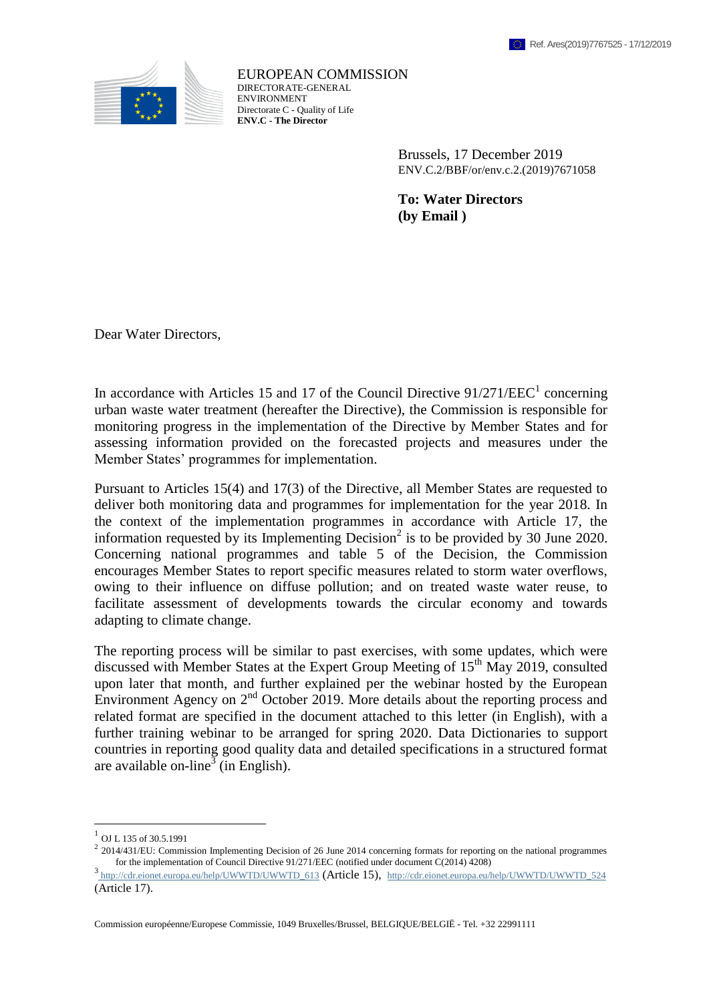

EUROPEAN COMMISSION DIRECTORATE-GENERAL **ENVIRONMENT** Directorate C - Quality of Life **ENV.C - The Director**

> Brussels, 17 December 2019 ENV.C.2/BBF/or/env.c.2.(2019)7671058

**To: Water Directors (by Email )**

Dear Water Directors,

In accordance with Articles 15 and 17 of the Council Directive  $91/271/EEC<sup>1</sup>$  concerning urban waste water treatment (hereafter the Directive), the Commission is responsible for monitoring progress in the implementation of the Directive by Member States and for assessing information provided on the forecasted projects and measures under the Member States' programmes for implementation.

Pursuant to Articles 15(4) and 17(3) of the Directive, all Member States are requested to deliver both monitoring data and programmes for implementation for the year 2018. In the context of the implementation programmes in accordance with Article 17, the information requested by its Implementing Decision<sup>2</sup> is to be provided by 30 June 2020. Concerning national programmes and table 5 of the Decision, the Commission encourages Member States to report specific measures related to storm water overflows, owing to their influence on diffuse pollution; and on treated waste water reuse, to facilitate assessment of developments towards the circular economy and towards adapting to climate change.

The reporting process will be similar to past exercises, with some updates, which were discussed with Member States at the Expert Group Meeting of  $15<sup>th</sup>$  May 2019, consulted upon later that month, and further explained per the webinar hosted by the European Environment Agency on  $2<sup>nd</sup>$  October 2019. More details about the reporting process and related format are specified in the document attached to this letter (in English), with a further training webinar to be arranged for spring 2020. Data Dictionaries to support countries in reporting good quality data and detailed specifications in a structured format are available on-line<sup>3</sup> (in English).

 $\overline{a}$ 

Commission européenne/Europese Commissie, 1049 Bruxelles/Brussel, BELGIQUE/BELGIË - Tel. +32 22991111

 $^{1}$  OJ L 135 of 30.5.1991

 $2$  2014/431/EU: Commission Implementing Decision of 26 June 2014 concerning formats for reporting on the national programmes for the implementation of Council Directive 91/271/EEC (notified under document C(2014) 4208)

<sup>&</sup>lt;sup>3</sup> [http://cdr.eionet.europa.eu/help/UWWTD/UWWTD\\_613](http://cdr.eionet.europa.eu/help/UWWTD/UWWTD_613) (Article 15), [http://cdr.eionet.europa.eu/help/UWWTD/UWWTD\\_524](http://cdr.eionet.europa.eu/help/UWWTD/UWWTD_524) (Article 17).